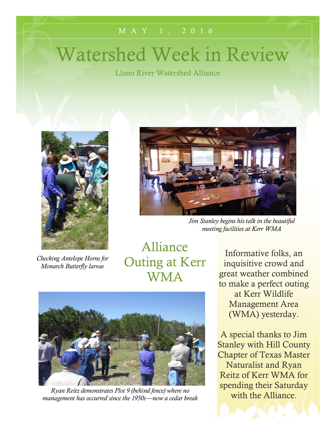#### M A Y 1 , 2 0 1 6

# Watershed Week in Review

Llano River Watershed Alliance



*Checking Antelope Horns for Monarch Butterfly larvae*



*Jim Stanley begins his talk in the beautiful meeting facilities at Kerr WMA*

Alliance Outing at Kerr WMA



*Ryan Reitz demonstrates Plot 9 (behind fence) where no management has occurred since the 1950s—now a cedar break*

Informative folks, an inquisitive crowd and great weather combined to make a perfect outing at Kerr Wildlife Management Area (WMA) yesterday.

A special thanks to Jim Stanley with Hill County Chapter of Texas Master Naturalist and Ryan Reitz of Kerr WMA for spending their Saturday with the Alliance.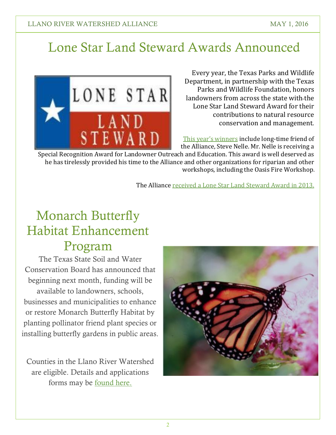## Lone Star Land Steward Awards Announced

LONE STAR L A N I STEWARD

. landowners from across the state with the Every year, the Texas Parks and Wildlife Department, in partnership with the Texas Parks and Wildlife Foundation, honors Lone Star Land Steward Award for their contributions to natural resource conservation and management.

[This year's winners](http://tpwd.texas.gov/newsmedia/releases/?req=20160420a&nrtype=all&nrspan=2016&nrsearch=) include long-time friend of the Alliance, Steve Nelle. Mr. Nelle is receiving a

Special Recognition Award for Landowner Outreach and Education. This award is well deserved as he has tirelessly provided his time to the Alliance and other organizations for riparian and other workshops, including the Oasis Fire Workshop.

The Alliance [received a Lone Star Land Steward Award in 2013.](https://www.google.com/url?sa=t&rct=j&q=&esrc=s&source=web&cd=1&cad=rja&uact=8&ved=0ahUKEwiPi7On_rTMAhVKl4MKHYKnAEgQtwIIHTAA&url=https%3A%2F%2Fwww.youtube.com%2Fwatch%3Fv%3D0_kIgTBPLZI&usg=AFQjCNEb9XRp50IzTgjLqmH61p2hUqHiww&sig2=Cz7AbDn6YfJxJPVWxsuXAQ)

### Monarch Butterfly Habitat Enhancement Program

The Texas State Soil and Water Conservation Board has announced that beginning next month, funding will be available to landowners, schools, businesses and municipalities to enhance or restore Monarch Butterfly Habitat by planting pollinator friend plant species or installing butterfly gardens in public areas.

Counties in the Llano River Watershed are eligible. Details and applications forms may be [found here.](https://www.tsswcb.texas.gov/monarch)

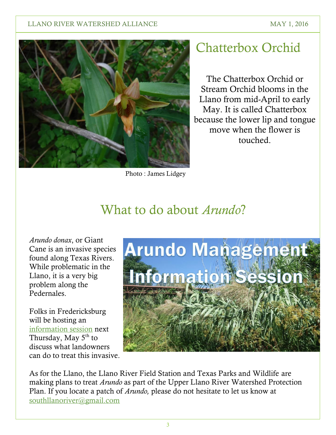#### LLANO RIVER WATERSHED ALLIANCE MAY 1, 2016



Photo : James Lidgey

### Chatterbox Orchid

The Chatterbox Orchid or Stream Orchid blooms in the Llano from mid-April to early May. It is called Chatterbox because the lower lip and tongue move when the flower is touched.

### What to do about *Arundo*?

*Arundo donax*, or Giant Cane is an invasive species found along Texas Rivers. While problematic in the Llano, it is a very big problem along the Pedernales.

Folks in Fredericksburg will be hosting an [information session](http://www.hillcountryalliance.org/wp-content/uploads/2016/04/Info-Session-Pedernales-May-5-2016.pdf) next Thursday, May  $5<sup>th</sup>$  to discuss what landowners can do to treat this invasive.



As for the Llano, the Llano River Field Station and Texas Parks and Wildlife are making plans to treat *Arundo* as part of the Upper Llano River Watershed Protection Plan. If you locate a patch of *Arundo,* please do not hesitate to let us know at [southllanoriver@gmail.com](mailto:southllanoriver@gmail.com)